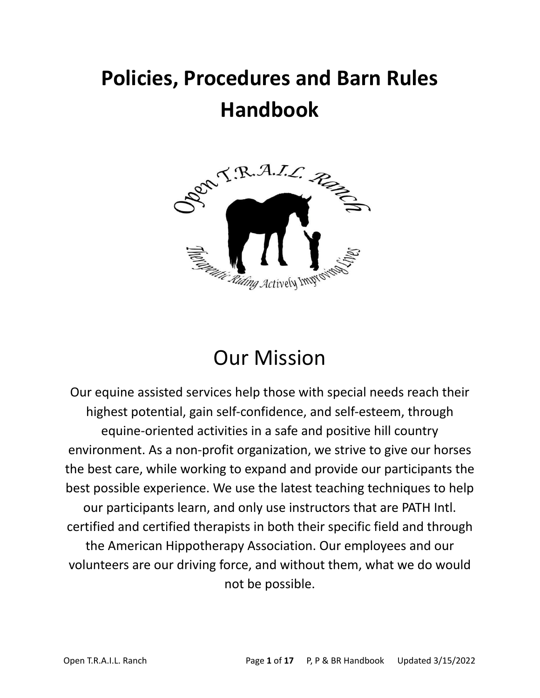# **Policies, Procedures and Barn Rules Handbook**



## Our Mission

Our equine assisted services help those with special needs reach their highest potential, gain self-confidence, and self-esteem, through equine-oriented activities in a safe and positive hill country environment. As a non-profit organization, we strive to give our horses the best care, while working to expand and provide our participants the best possible experience. We use the latest teaching techniques to help our participants learn, and only use instructors that are PATH Intl. certified and certified therapists in both their specific field and through the American Hippotherapy Association. Our employees and our volunteers are our driving force, and without them, what we do would not be possible.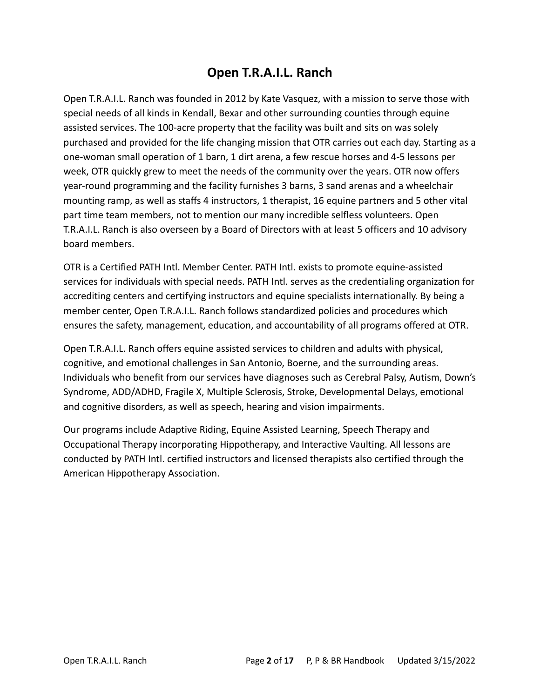## **Open T.R.A.I.L. Ranch**

Open T.R.A.I.L. Ranch was founded in 2012 by Kate Vasquez, with a mission to serve those with special needs of all kinds in Kendall, Bexar and other surrounding counties through equine assisted services. The 100-acre property that the facility was built and sits on was solely purchased and provided for the life changing mission that OTR carries out each day. Starting as a one-woman small operation of 1 barn, 1 dirt arena, a few rescue horses and 4-5 lessons per week, OTR quickly grew to meet the needs of the community over the years. OTR now offers year-round programming and the facility furnishes 3 barns, 3 sand arenas and a wheelchair mounting ramp, as well as staffs 4 instructors, 1 therapist, 16 equine partners and 5 other vital part time team members, not to mention our many incredible selfless volunteers. Open T.R.A.I.L. Ranch is also overseen by a Board of Directors with at least 5 officers and 10 advisory board members.

OTR is a Certified PATH Intl. Member Center. PATH Intl. exists to promote equine-assisted services for individuals with special needs. PATH Intl. serves as the credentialing organization for accrediting centers and certifying instructors and equine specialists internationally. By being a member center, Open T.R.A.I.L. Ranch follows standardized policies and procedures which ensures the safety, management, education, and accountability of all programs offered at OTR.

Open T.R.A.I.L. Ranch offers equine assisted services to children and adults with physical, cognitive, and emotional challenges in San Antonio, Boerne, and the surrounding areas. Individuals who benefit from our services have diagnoses such as Cerebral Palsy, Autism, Down's Syndrome, ADD/ADHD, Fragile X, Multiple Sclerosis, Stroke, Developmental Delays, emotional and cognitive disorders, as well as speech, hearing and vision impairments.

Our programs include Adaptive Riding, Equine Assisted Learning, Speech Therapy and Occupational Therapy incorporating Hippotherapy, and Interactive Vaulting. All lessons are conducted by PATH Intl. certified instructors and licensed therapists also certified through the American Hippotherapy Association.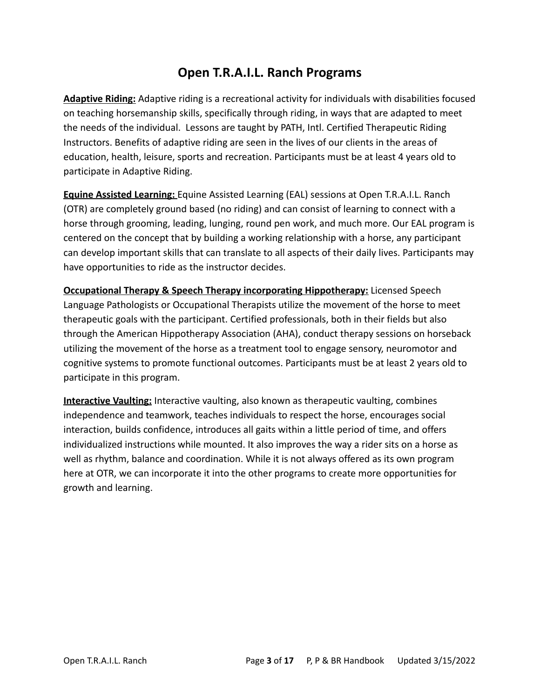## **Open T.R.A.I.L. Ranch Programs**

**Adaptive Riding:** Adaptive riding is a recreational activity for individuals with disabilities focused on teaching horsemanship skills, specifically through riding, in ways that are adapted to meet the needs of the individual. Lessons are taught by PATH, Intl. Certified Therapeutic Riding Instructors. Benefits of adaptive riding are seen in the lives of our clients in the areas of education, health, leisure, sports and recreation. Participants must be at least 4 years old to participate in Adaptive Riding.

**Equine Assisted Learning:** Equine Assisted Learning (EAL) sessions at Open T.R.A.I.L. Ranch (OTR) are completely ground based (no riding) and can consist of learning to connect with a horse through grooming, leading, lunging, round pen work, and much more. Our EAL program is centered on the concept that by building a working relationship with a horse, any participant can develop important skills that can translate to all aspects of their daily lives. Participants may have opportunities to ride as the instructor decides.

**Occupational Therapy & Speech Therapy incorporating Hippotherapy:** Licensed Speech Language Pathologists or Occupational Therapists utilize the movement of the horse to meet therapeutic goals with the participant. Certified professionals, both in their fields but also through the American Hippotherapy Association (AHA), conduct therapy sessions on horseback utilizing the movement of the horse as a treatment tool to engage sensory, neuromotor and cognitive systems to promote functional outcomes. Participants must be at least 2 years old to participate in this program.

**Interactive Vaulting:** Interactive vaulting, also known as therapeutic vaulting, combines independence and teamwork, teaches individuals to respect the horse, encourages social interaction, builds confidence, introduces all gaits within a little period of time, and offers individualized instructions while mounted. It also improves the way a rider sits on a horse as well as rhythm, balance and coordination. While it is not always offered as its own program here at OTR, we can incorporate it into the other programs to create more opportunities for growth and learning.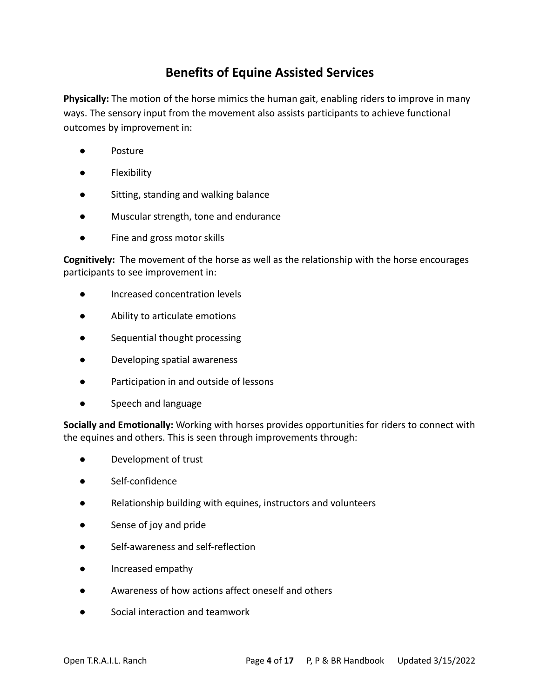## **Benefits of Equine Assisted Services**

**Physically:** The motion of the horse mimics the human gait, enabling riders to improve in many ways. The sensory input from the movement also assists participants to achieve functional outcomes by improvement in:

- Posture
- Flexibility
- Sitting, standing and walking balance
- Muscular strength, tone and endurance
- Fine and gross motor skills

**Cognitively:** The movement of the horse as well as the relationship with the horse encourages participants to see improvement in:

- Increased concentration levels
- Ability to articulate emotions
- Sequential thought processing
- Developing spatial awareness
- Participation in and outside of lessons
- Speech and language

**Socially and Emotionally:** Working with horses provides opportunities for riders to connect with the equines and others. This is seen through improvements through:

- Development of trust
- Self-confidence
- Relationship building with equines, instructors and volunteers
- Sense of joy and pride
- Self-awareness and self-reflection
- Increased empathy
- Awareness of how actions affect oneself and others
- Social interaction and teamwork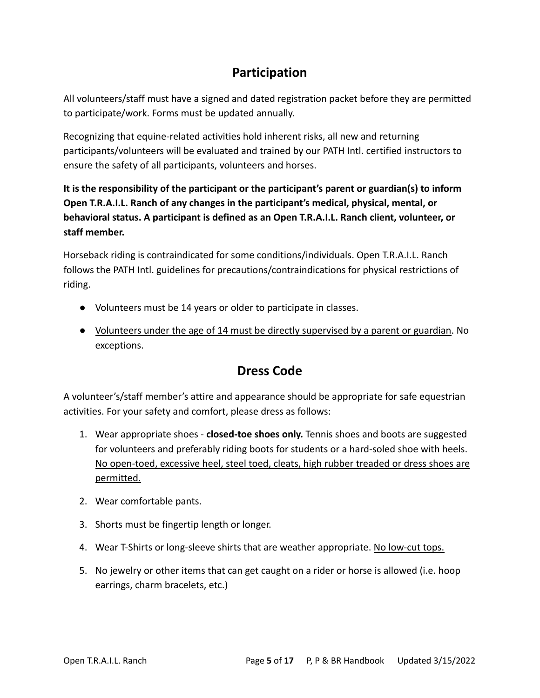## **Participation**

All volunteers/staff must have a signed and dated registration packet before they are permitted to participate/work. Forms must be updated annually.

Recognizing that equine-related activities hold inherent risks, all new and returning participants/volunteers will be evaluated and trained by our PATH Intl. certified instructors to ensure the safety of all participants, volunteers and horses.

**It is the responsibility of the participant or the participant's parent or guardian(s) to inform Open T.R.A.I.L. Ranch of any changes in the participant's medical, physical, mental, or behavioral status. A participant is defined as an Open T.R.A.I.L. Ranch client, volunteer, or staff member.**

Horseback riding is contraindicated for some conditions/individuals. Open T.R.A.I.L. Ranch follows the PATH Intl. guidelines for precautions/contraindications for physical restrictions of riding.

- Volunteers must be 14 years or older to participate in classes.
- Volunteers under the age of 14 must be directly supervised by a parent or guardian. No exceptions.

## **Dress Code**

A volunteer's/staff member's attire and appearance should be appropriate for safe equestrian activities. For your safety and comfort, please dress as follows:

- 1. Wear appropriate shoes **closed-toe shoes only.** Tennis shoes and boots are suggested for volunteers and preferably riding boots for students or a hard-soled shoe with heels. No open-toed, excessive heel, steel toed, cleats, high rubber treaded or dress shoes are permitted.
- 2. Wear comfortable pants.
- 3. Shorts must be fingertip length or longer.
- 4. Wear T-Shirts or long-sleeve shirts that are weather appropriate. No low-cut tops.
- 5. No jewelry or other items that can get caught on a rider or horse is allowed (i.e. hoop earrings, charm bracelets, etc.)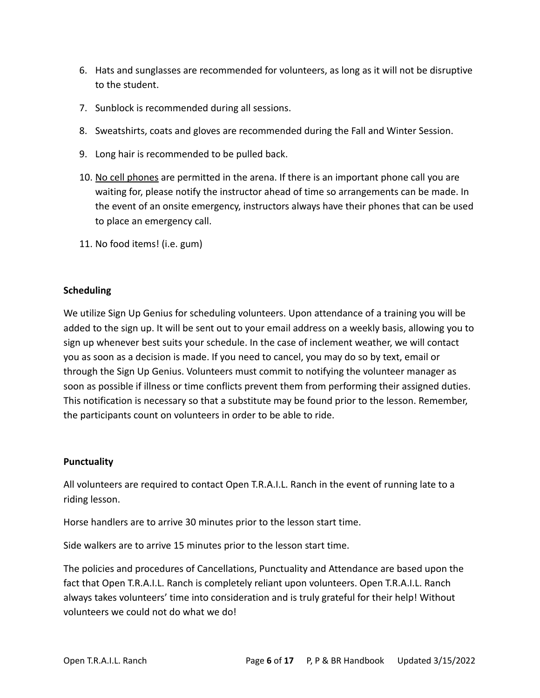- 6. Hats and sunglasses are recommended for volunteers, as long as it will not be disruptive to the student.
- 7. Sunblock is recommended during all sessions.
- 8. Sweatshirts, coats and gloves are recommended during the Fall and Winter Session.
- 9. Long hair is recommended to be pulled back.
- 10. No cell phones are permitted in the arena. If there is an important phone call you are waiting for, please notify the instructor ahead of time so arrangements can be made. In the event of an onsite emergency, instructors always have their phones that can be used to place an emergency call.
- 11. No food items! (i.e. gum)

#### **Scheduling**

We utilize Sign Up Genius for scheduling volunteers. Upon attendance of a training you will be added to the sign up. It will be sent out to your email address on a weekly basis, allowing you to sign up whenever best suits your schedule. In the case of inclement weather, we will contact you as soon as a decision is made. If you need to cancel, you may do so by text, email or through the Sign Up Genius. Volunteers must commit to notifying the volunteer manager as soon as possible if illness or time conflicts prevent them from performing their assigned duties. This notification is necessary so that a substitute may be found prior to the lesson. Remember, the participants count on volunteers in order to be able to ride.

#### **Punctuality**

All volunteers are required to contact Open T.R.A.I.L. Ranch in the event of running late to a riding lesson.

Horse handlers are to arrive 30 minutes prior to the lesson start time.

Side walkers are to arrive 15 minutes prior to the lesson start time.

The policies and procedures of Cancellations, Punctuality and Attendance are based upon the fact that Open T.R.A.I.L. Ranch is completely reliant upon volunteers. Open T.R.A.I.L. Ranch always takes volunteers' time into consideration and is truly grateful for their help! Without volunteers we could not do what we do!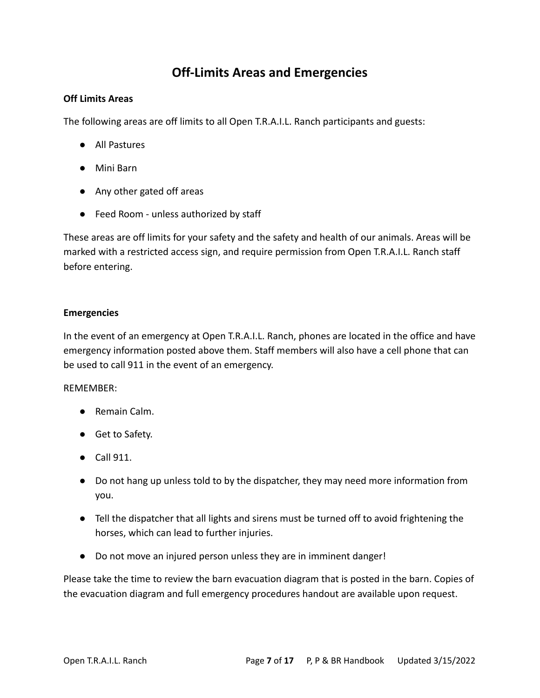## **Off-Limits Areas and Emergencies**

#### **Off Limits Areas**

The following areas are off limits to all Open T.R.A.I.L. Ranch participants and guests:

- All Pastures
- Mini Barn
- Any other gated off areas
- Feed Room unless authorized by staff

These areas are off limits for your safety and the safety and health of our animals. Areas will be marked with a restricted access sign, and require permission from Open T.R.A.I.L. Ranch staff before entering.

#### **Emergencies**

In the event of an emergency at Open T.R.A.I.L. Ranch, phones are located in the office and have emergency information posted above them. Staff members will also have a cell phone that can be used to call 911 in the event of an emergency.

#### REMEMBER:

- Remain Calm.
- Get to Safety.
- Call 911.
- Do not hang up unless told to by the dispatcher, they may need more information from you.
- Tell the dispatcher that all lights and sirens must be turned off to avoid frightening the horses, which can lead to further injuries.
- Do not move an injured person unless they are in imminent danger!

Please take the time to review the barn evacuation diagram that is posted in the barn. Copies of the evacuation diagram and full emergency procedures handout are available upon request.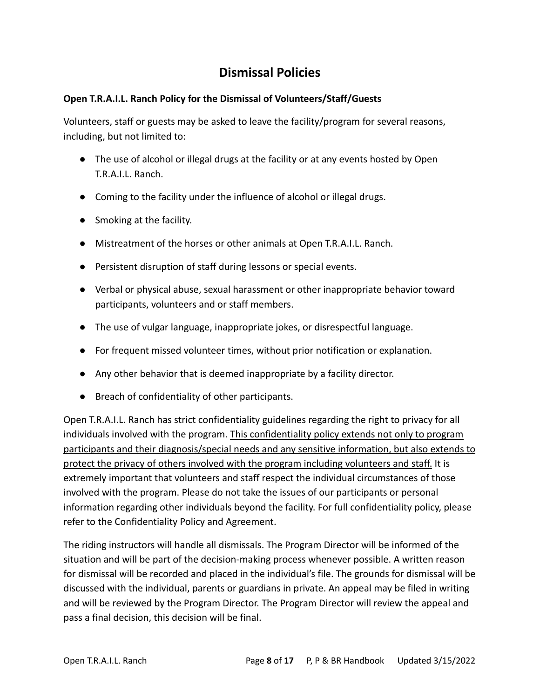## **Dismissal Policies**

#### **Open T.R.A.I.L. Ranch Policy for the Dismissal of Volunteers/Staff/Guests**

Volunteers, staff or guests may be asked to leave the facility/program for several reasons, including, but not limited to:

- The use of alcohol or illegal drugs at the facility or at any events hosted by Open T.R.A.I.L. Ranch.
- Coming to the facility under the influence of alcohol or illegal drugs.
- Smoking at the facility.
- Mistreatment of the horses or other animals at Open T.R.A.I.L. Ranch.
- Persistent disruption of staff during lessons or special events.
- Verbal or physical abuse, sexual harassment or other inappropriate behavior toward participants, volunteers and or staff members.
- The use of vulgar language, inappropriate jokes, or disrespectful language.
- For frequent missed volunteer times, without prior notification or explanation.
- Any other behavior that is deemed inappropriate by a facility director.
- Breach of confidentiality of other participants.

Open T.R.A.I.L. Ranch has strict confidentiality guidelines regarding the right to privacy for all individuals involved with the program. This confidentiality policy extends not only to program participants and their diagnosis/special needs and any sensitive information, but also extends to protect the privacy of others involved with the program including volunteers and staff. It is extremely important that volunteers and staff respect the individual circumstances of those involved with the program. Please do not take the issues of our participants or personal information regarding other individuals beyond the facility. For full confidentiality policy, please refer to the Confidentiality Policy and Agreement.

The riding instructors will handle all dismissals. The Program Director will be informed of the situation and will be part of the decision-making process whenever possible. A written reason for dismissal will be recorded and placed in the individual's file. The grounds for dismissal will be discussed with the individual, parents or guardians in private. An appeal may be filed in writing and will be reviewed by the Program Director. The Program Director will review the appeal and pass a final decision, this decision will be final.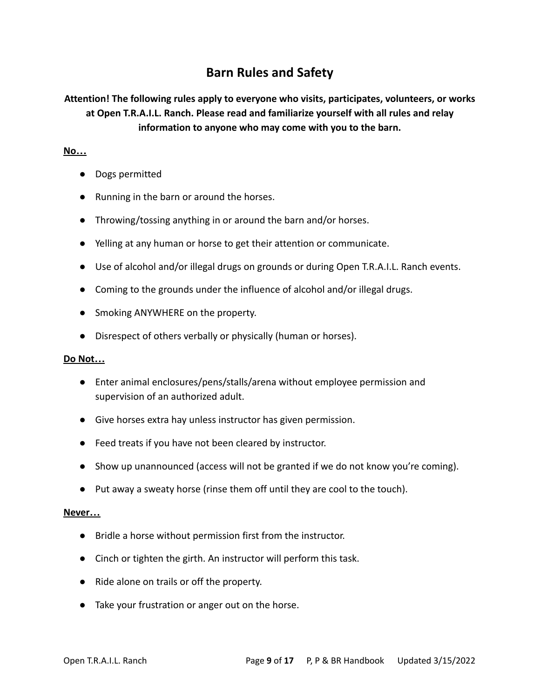## **Barn Rules and Safety**

**Attention! The following rules apply to everyone who visits, participates, volunteers, or works at Open T.R.A.I.L. Ranch. Please read and familiarize yourself with all rules and relay information to anyone who may come with you to the barn.**

#### **No…**

- **●** Dogs permitted
- **●** Running in the barn or around the horses.
- **●** Throwing/tossing anything in or around the barn and/or horses.
- **●** Yelling at any human or horse to get their attention or communicate.
- Use of alcohol and/or illegal drugs on grounds or during Open T.R.A.I.L. Ranch events.
- Coming to the grounds under the influence of alcohol and/or illegal drugs.
- **●** Smoking ANYWHERE on the property.
- **●** Disrespect of others verbally or physically (human or horses).

#### **Do Not…**

- **●** Enter animal enclosures/pens/stalls/arena without employee permission and supervision of an authorized adult.
- **●** Give horses extra hay unless instructor has given permission.
- **●** Feed treats if you have not been cleared by instructor.
- **●** Show up unannounced (access will not be granted if we do not know you're coming).
- **●** Put away a sweaty horse (rinse them off until they are cool to the touch).

#### **Never…**

- **●** Bridle a horse without permission first from the instructor.
- **●** Cinch or tighten the girth. An instructor will perform this task.
- **●** Ride alone on trails or off the property.
- **●** Take your frustration or anger out on the horse.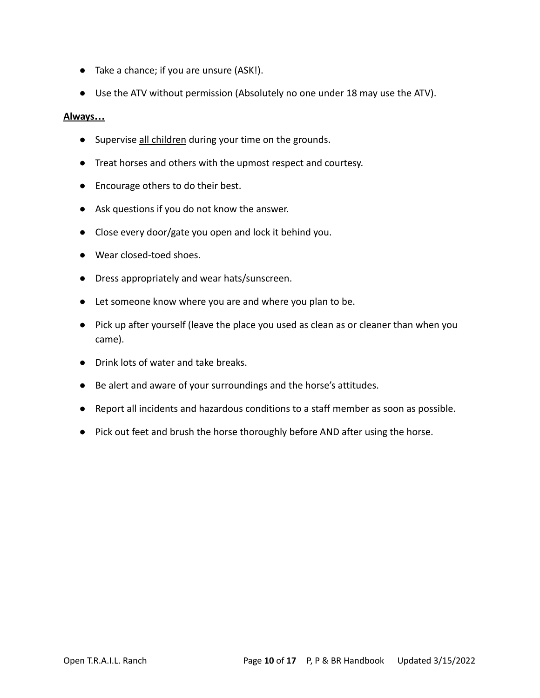- **●** Take a chance; if you are unsure (ASK!).
- **●** Use the ATV without permission (Absolutely no one under 18 may use the ATV).

#### **Always…**

- Supervise all children during your time on the grounds.
- Treat horses and others with the upmost respect and courtesy.
- Encourage others to do their best.
- Ask questions if you do not know the answer.
- Close every door/gate you open and lock it behind you.
- **●** Wear closed-toed shoes.
- **●** Dress appropriately and wear hats/sunscreen.
- **●** Let someone know where you are and where you plan to be.
- **●** Pick up after yourself (leave the place you used as clean as or cleaner than when you came).
- **●** Drink lots of water and take breaks.
- **●** Be alert and aware of your surroundings and the horse's attitudes.
- **●** Report all incidents and hazardous conditions to a staff member as soon as possible.
- **●** Pick out feet and brush the horse thoroughly before AND after using the horse.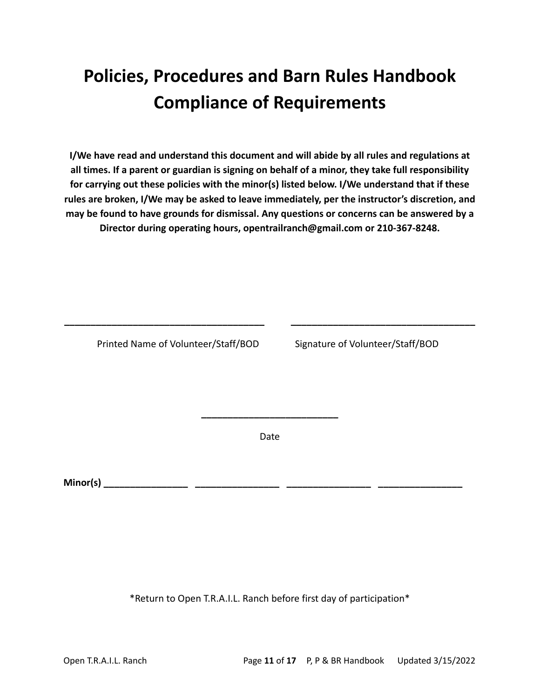## **Policies, Procedures and Barn Rules Handbook Compliance of Requirements**

**I/We have read and understand this document and will abide by all rules and regulations at all times. If a parent or guardian is signing on behalf of a minor, they take full responsibility for carrying out these policies with the minor(s) listed below. I/We understand that if these rules are broken, I/We may be asked to leave immediately, per the instructor's discretion, and may be found to have grounds for dismissal. Any questions or concerns can be answered by a Director during operating hours, opentrailranch@gmail.com or 210-367-8248.**

Printed Name of Volunteer/Staff/BOD Signature of Volunteer/Staff/BOD

Date

**\_\_\_\_\_\_\_\_\_\_\_\_\_\_\_\_\_\_\_\_\_\_\_\_\_\_**

**\_\_\_\_\_\_\_\_\_\_\_\_\_\_\_\_\_\_\_\_\_\_\_\_\_\_\_\_\_\_\_\_\_\_\_\_\_\_ \_\_\_\_\_\_\_\_\_\_\_\_\_\_\_\_\_\_\_\_\_\_\_\_\_\_\_\_\_\_\_\_\_\_\_**

**Minor(s) \_\_\_\_\_\_\_\_\_\_\_\_\_\_\_\_ \_\_\_\_\_\_\_\_\_\_\_\_\_\_\_\_ \_\_\_\_\_\_\_\_\_\_\_\_\_\_\_\_ \_\_\_\_\_\_\_\_\_\_\_\_\_\_\_\_**

\*Return to Open T.R.A.I.L. Ranch before first day of participation\*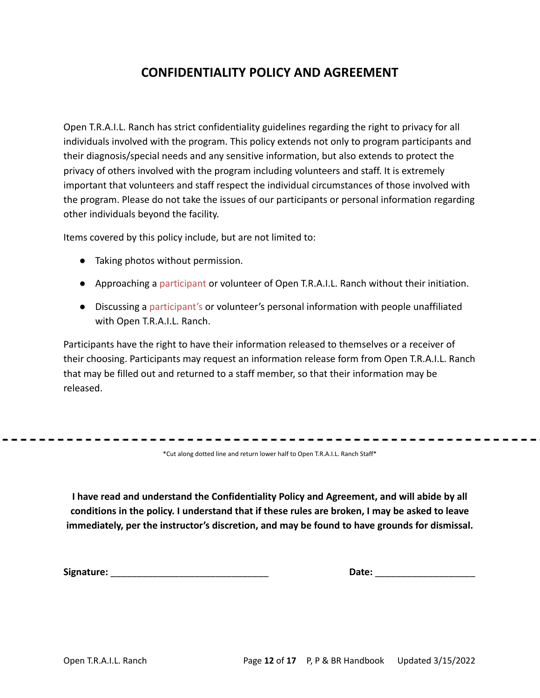## **CONFIDENTIALITY POLICY AND AGREEMENT**

Open T.R.A.I.L. Ranch has strict confidentiality guidelines regarding the right to privacy for all individuals involved with the program. This policy extends not only to program participants and their diagnosis/special needs and any sensitive information, but also extends to protect the privacy of others involved with the program including volunteers and staff. It is extremely important that volunteers and staff respect the individual circumstances of those involved with the program. Please do not take the issues of our participants or personal information regarding other individuals beyond the facility.

Items covered by this policy include, but are not limited to:

- Taking photos without permission.
- Approaching a participant or volunteer of Open T.R.A.I.L. Ranch without their initiation.
- Discussing a participant's or volunteer's personal information with people unaffiliated with Open T.R.A.I.L. Ranch.

Participants have the right to have their information released to themselves or a receiver of their choosing. Participants may request an information release form from Open T.R.A.I.L. Ranch that may be filled out and returned to a staff member, so that their information may be released.

\*Cut along dotted line and return lower half to Open T.R.A.I.L. Ranch Staff\*

**I have read and understand the Confidentiality Policy and Agreement, and will abide by all conditions in the policy. I understand that if these rules are broken, I may be asked to leave immediately, per the instructor's discretion, and may be found to have grounds for dismissal.**

**Signature:** \_\_\_\_\_\_\_\_\_\_\_\_\_\_\_\_\_\_\_\_\_\_\_\_\_\_\_\_\_\_ **Date:** \_\_\_\_\_\_\_\_\_\_\_\_\_\_\_\_\_\_\_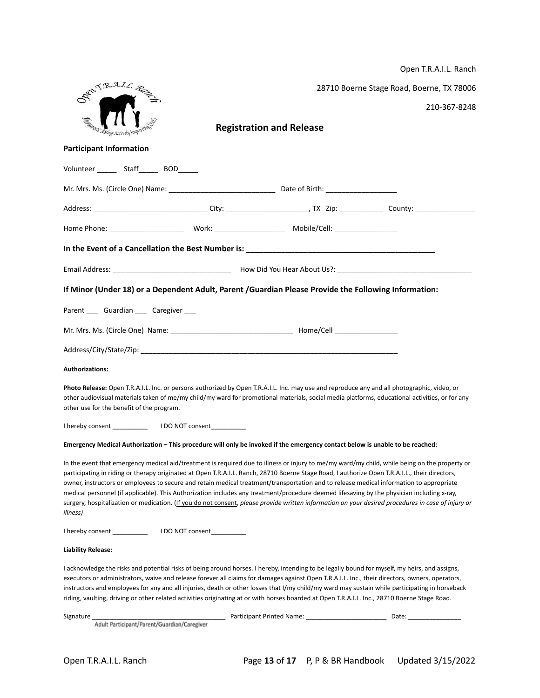|                                                                                                                                                                                                                                                                                                                                                                                                                                                                                                                                                                                                                                                                                                                                                            |                                 | Open T.R.A.I.L. Ranch                     |
|------------------------------------------------------------------------------------------------------------------------------------------------------------------------------------------------------------------------------------------------------------------------------------------------------------------------------------------------------------------------------------------------------------------------------------------------------------------------------------------------------------------------------------------------------------------------------------------------------------------------------------------------------------------------------------------------------------------------------------------------------------|---------------------------------|-------------------------------------------|
| DOMTRAIL R                                                                                                                                                                                                                                                                                                                                                                                                                                                                                                                                                                                                                                                                                                                                                 |                                 | 28710 Boerne Stage Road, Boerne, TX 78006 |
|                                                                                                                                                                                                                                                                                                                                                                                                                                                                                                                                                                                                                                                                                                                                                            |                                 | 210-367-8248                              |
| <b>Ruding Actively Impty</b>                                                                                                                                                                                                                                                                                                                                                                                                                                                                                                                                                                                                                                                                                                                               | <b>Registration and Release</b> |                                           |
| <b>Participant Information</b>                                                                                                                                                                                                                                                                                                                                                                                                                                                                                                                                                                                                                                                                                                                             |                                 |                                           |
| Volunteer ______ Staff______ BOD______                                                                                                                                                                                                                                                                                                                                                                                                                                                                                                                                                                                                                                                                                                                     |                                 |                                           |
|                                                                                                                                                                                                                                                                                                                                                                                                                                                                                                                                                                                                                                                                                                                                                            |                                 |                                           |
|                                                                                                                                                                                                                                                                                                                                                                                                                                                                                                                                                                                                                                                                                                                                                            |                                 |                                           |
|                                                                                                                                                                                                                                                                                                                                                                                                                                                                                                                                                                                                                                                                                                                                                            |                                 |                                           |
| In the Event of a Cancellation the Best Number is: Next Service Communications of the Communication of the Comm                                                                                                                                                                                                                                                                                                                                                                                                                                                                                                                                                                                                                                            |                                 |                                           |
|                                                                                                                                                                                                                                                                                                                                                                                                                                                                                                                                                                                                                                                                                                                                                            |                                 |                                           |
| If Minor (Under 18) or a Dependent Adult, Parent /Guardian Please Provide the Following Information:                                                                                                                                                                                                                                                                                                                                                                                                                                                                                                                                                                                                                                                       |                                 |                                           |
| Parent ____ Guardian ____ Caregiver ___                                                                                                                                                                                                                                                                                                                                                                                                                                                                                                                                                                                                                                                                                                                    |                                 |                                           |
|                                                                                                                                                                                                                                                                                                                                                                                                                                                                                                                                                                                                                                                                                                                                                            |                                 |                                           |
|                                                                                                                                                                                                                                                                                                                                                                                                                                                                                                                                                                                                                                                                                                                                                            |                                 |                                           |
| <b>Authorizations:</b>                                                                                                                                                                                                                                                                                                                                                                                                                                                                                                                                                                                                                                                                                                                                     |                                 |                                           |
| Photo Release: Open T.R.A.I.L. Inc. or persons authorized by Open T.R.A.I.L. Inc. may use and reproduce any and all photographic, video, or<br>other audiovisual materials taken of me/my child/my ward for promotional materials, social media platforms, educational activities, or for any<br>other use for the benefit of the program.                                                                                                                                                                                                                                                                                                                                                                                                                 |                                 |                                           |
| I hereby consent The Consent Theorem I DO NOT consent                                                                                                                                                                                                                                                                                                                                                                                                                                                                                                                                                                                                                                                                                                      |                                 |                                           |
| Emergency Medical Authorization - This procedure will only be invoked if the emergency contact below is unable to be reached:                                                                                                                                                                                                                                                                                                                                                                                                                                                                                                                                                                                                                              |                                 |                                           |
| In the event that emergency medical aid/treatment is required due to illness or injury to me/my ward/my child, while being on the property or<br>participating in riding or therapy originated at Open T.R.A.I.L. Ranch, 28710 Boerne Stage Road, I authorize Open T.R.A.I.L., their directors,<br>owner, instructors or employees to secure and retain medical treatment/transportation and to release medical information to appropriate<br>medical personnel (if applicable). This Authorization includes any treatment/procedure deemed lifesaving by the physician including x-ray,<br>surgery, hospitalization or medication. (If you do not consent, please provide written information on your desired procedures in case of injury or<br>illness) |                                 |                                           |
|                                                                                                                                                                                                                                                                                                                                                                                                                                                                                                                                                                                                                                                                                                                                                            |                                 |                                           |
| <b>Liability Release:</b>                                                                                                                                                                                                                                                                                                                                                                                                                                                                                                                                                                                                                                                                                                                                  |                                 |                                           |
| I acknowledge the risks and potential risks of being around horses. I hereby, intending to be legally bound for myself, my heirs, and assigns,<br>executors or administrators, waive and release forever all claims for damages against Open T.R.A.I.L. Inc., their directors, owners, operators,<br>instructors and employees for any and all injuries, death or other losses that I/my child/my ward may sustain while participating in horseback<br>riding, vaulting, driving or other related activities originating at or with horses boarded at Open T.R.A.I.L. Inc., 28710 Boerne Stage Road.                                                                                                                                                       |                                 |                                           |
|                                                                                                                                                                                                                                                                                                                                                                                                                                                                                                                                                                                                                                                                                                                                                            |                                 |                                           |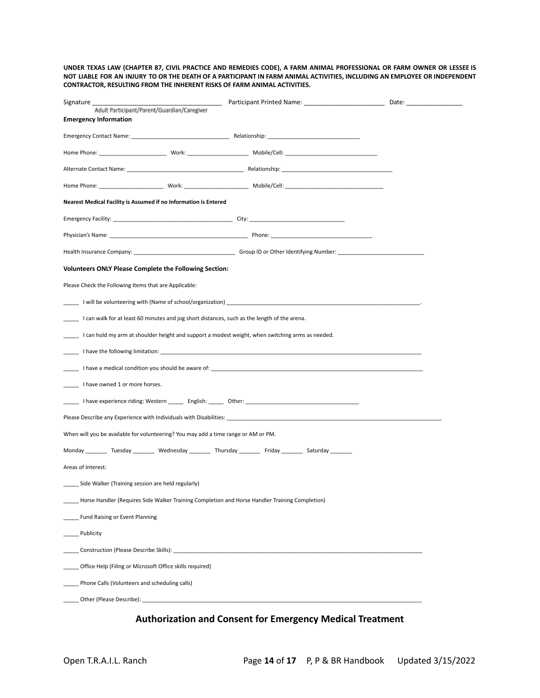UNDER TEXAS LAW (CHAPTER 87, CIVIL PRACTICE AND REMEDIES CODE), A FARM ANIMAL PROFESSIONAL OR FARM OWNER OR LESSEE IS NOT LIABLE FOR AN INJURY TO OR THE DEATH OF A PARTICIPANT IN FARM ANIMAL ACTIVITIES, INCLUDING AN EMPLOYEE OR INDEPENDENT **CONTRACTOR, RESULTING FROM THE INHERENT RISKS OF FARM ANIMAL ACTIVITIES.**

| Signature __                                                                                                 |  |  |  |  |  |
|--------------------------------------------------------------------------------------------------------------|--|--|--|--|--|
| Adult Participant/Parent/Guardian/Caregiver                                                                  |  |  |  |  |  |
| <b>Emergency Information</b>                                                                                 |  |  |  |  |  |
|                                                                                                              |  |  |  |  |  |
|                                                                                                              |  |  |  |  |  |
|                                                                                                              |  |  |  |  |  |
|                                                                                                              |  |  |  |  |  |
| Nearest Medical Facility is Assumed if no Information is Entered                                             |  |  |  |  |  |
|                                                                                                              |  |  |  |  |  |
|                                                                                                              |  |  |  |  |  |
|                                                                                                              |  |  |  |  |  |
| <b>Volunteers ONLY Please Complete the Following Section:</b>                                                |  |  |  |  |  |
| Please Check the Following Items that are Applicable:                                                        |  |  |  |  |  |
|                                                                                                              |  |  |  |  |  |
| Lean walk for at least 60 minutes and jog short distances, such as the length of the arena.                  |  |  |  |  |  |
| Lean hold my arm at shoulder height and support a modest weight, when switching arms as needed.              |  |  |  |  |  |
|                                                                                                              |  |  |  |  |  |
|                                                                                                              |  |  |  |  |  |
| I have owned 1 or more horses.                                                                               |  |  |  |  |  |
|                                                                                                              |  |  |  |  |  |
|                                                                                                              |  |  |  |  |  |
| When will you be available for volunteering? You may add a time range or AM or PM.                           |  |  |  |  |  |
| Monday _________ Tuesday _________ Wednesday _________ Thursday _________ Friday _________ Saturday ________ |  |  |  |  |  |
| Areas of Interest:                                                                                           |  |  |  |  |  |
| _____ Side Walker (Training session are held regularly)                                                      |  |  |  |  |  |
| Horse Handler (Requires Side Walker Training Completion and Horse Handler Training Completion)               |  |  |  |  |  |
| Fund Raising or Event Planning                                                                               |  |  |  |  |  |
| Publicity                                                                                                    |  |  |  |  |  |
|                                                                                                              |  |  |  |  |  |
| Office Help (Filing or Microsoft Office skills required)                                                     |  |  |  |  |  |
| Phone Calls (Volunteers and scheduling calls)                                                                |  |  |  |  |  |
|                                                                                                              |  |  |  |  |  |

### **Authorization and Consent for Emergency Medical Treatment**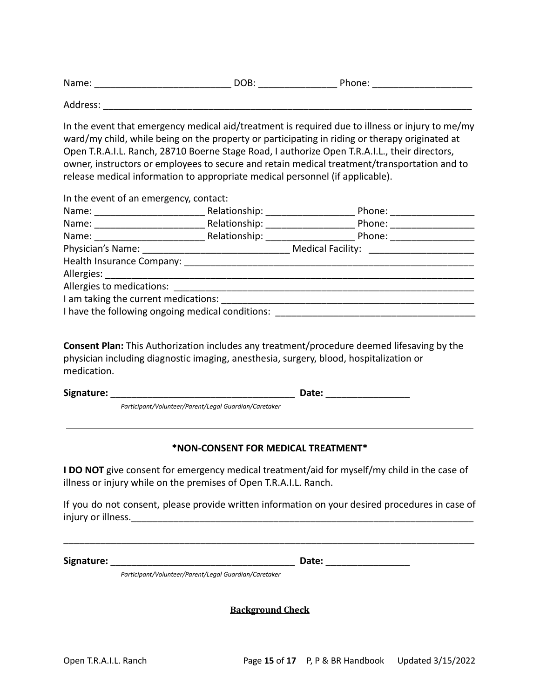| Name: | м | 1<br>rnone. |
|-------|---|-------------|
|       |   |             |

Address: \_\_\_\_\_\_\_\_\_\_\_\_\_\_\_\_\_\_\_\_\_\_\_\_\_\_\_\_\_\_\_\_\_\_\_\_\_\_\_\_\_\_\_\_\_\_\_\_\_\_\_\_\_\_\_\_\_\_\_\_\_\_\_\_\_\_\_\_\_\_

In the event that emergency medical aid/treatment is required due to illness or injury to me/my ward/my child, while being on the property or participating in riding or therapy originated at Open T.R.A.I.L. Ranch, 28710 Boerne Stage Road, I authorize Open T.R.A.I.L., their directors, owner, instructors or employees to secure and retain medical treatment/transportation and to release medical information to appropriate medical personnel (if applicable).

In the event of an emergency, contact:

|                                                                                  | Relationship: _________________ | Phone: ____________________                                    |  |  |  |
|----------------------------------------------------------------------------------|---------------------------------|----------------------------------------------------------------|--|--|--|
|                                                                                  |                                 | Phone: ________________<br>Relationship: __________________    |  |  |  |
| Name: _________________________                                                  |                                 | Relationship: ____________________<br>Phone: _________________ |  |  |  |
|                                                                                  |                                 |                                                                |  |  |  |
|                                                                                  |                                 |                                                                |  |  |  |
|                                                                                  |                                 |                                                                |  |  |  |
|                                                                                  |                                 |                                                                |  |  |  |
| I am taking the current medications:                                             |                                 |                                                                |  |  |  |
| I have the following ongoing medical conditions: _______________________________ |                                 |                                                                |  |  |  |

**Consent Plan:** This Authorization includes any treatment/procedure deemed lifesaving by the physician including diagnostic imaging, anesthesia, surgery, blood, hospitalization or medication.

**Signature:** \_\_\_\_\_\_\_\_\_\_\_\_\_\_\_\_\_\_\_\_\_\_\_\_\_\_\_\_\_\_\_\_\_\_\_ **Date:** \_\_\_\_\_\_\_\_\_\_\_\_\_\_\_\_

*Participant/Volunteer/Parent/Legal Guardian/Caretaker*

#### **\*NON-CONSENT FOR MEDICAL TREATMENT\***

**I DO NOT** give consent for emergency medical treatment/aid for myself/my child in the case of illness or injury while on the premises of Open T.R.A.I.L. Ranch.

If you do not consent, please provide written information on your desired procedures in case of injury or illness.\_\_\_\_\_\_\_\_\_\_\_\_\_\_\_\_\_\_\_\_\_\_\_\_\_\_\_\_\_\_\_\_\_\_\_\_\_\_\_\_\_\_\_\_\_\_\_\_\_\_\_\_\_\_\_\_\_\_\_\_\_\_\_\_\_

\_\_\_\_\_\_\_\_\_\_\_\_\_\_\_\_\_\_\_\_\_\_\_\_\_\_\_\_\_\_\_\_\_\_\_\_\_\_\_\_\_\_\_\_\_\_\_\_\_\_\_\_\_\_\_\_\_\_\_\_\_\_\_\_\_\_\_\_\_\_\_\_\_\_\_\_\_\_

**Signature:** \_\_\_\_\_\_\_\_\_\_\_\_\_\_\_\_\_\_\_\_\_\_\_\_\_\_\_\_\_\_\_\_\_\_\_ **Date:** \_\_\_\_\_\_\_\_\_\_\_\_\_\_\_\_

*Participant/Volunteer/Parent/Legal Guardian/Caretaker*

**Background Check**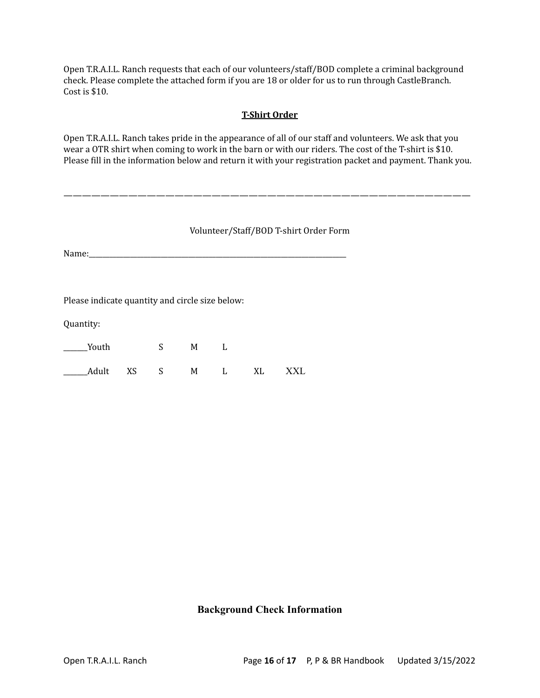Open T.R.A.I.L. Ranch requests that each of our volunteers/staff/BOD complete a criminal background check. Please complete the attached form if you are 18 or older for us to run through CastleBranch. Cost is \$10.

#### **T-Shirt Order**

Open T.R.A.I.L. Ranch takes pride in the appearance of all of our staff and volunteers. We ask that you wear a OTR shirt when coming to work in the barn or with our riders. The cost of the T-shirt is \$10. Please fill in the information below and return it with your registration packet and payment. Thank you.

#### Volunteer/Staff/BOD T-shirt Order Form

————————————————————————————————————————————

Name:

Please indicate quantity and circle size below:

Quantity:

| Youth                 | $S_{\rm{max}}$ | M |  |  |
|-----------------------|----------------|---|--|--|
| Adult XS S M L XL XXL |                |   |  |  |

#### **Background Check Information**